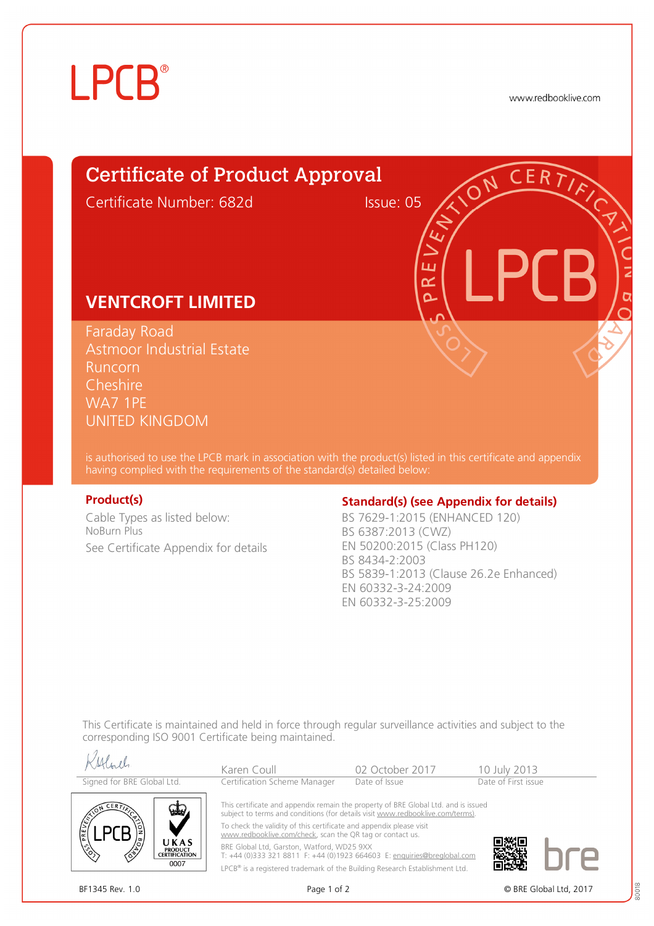# **LPCB**®

www.redbooklive.com

## Certificate of Product Approval

Certificate Number: 682d

ய œ Ò

## **VENTCROFT LIMITED**

Faraday Road Astmoor Industrial Estate Runcorn **Cheshire** WA7 1PE UNITED KINGDOM

is authorised to use the LPCB mark in association with the product(s) listed in this certificate and appendix having complied with the requirements of the standard(s) detailed below:

Cable Types as listed below: NoBurn Plus See Certificate Appendix for details

### **Product(s) Constrained Exercise 2 and <b>Standard(s)** (see Appendix for details)

BS 7629-1:2015 (ENHANCED 120) BS 6387:2013 (CWZ) EN 50200:2015 (Class PH120) BS 8434-2:2003 BS 5839-1:2013 (Clause 26.2e Enhanced) EN 60332-3-24:2009 EN 60332-3-25:2009

This Certificate is maintained and held in force through regular surveillance activities and subject to the corresponding ISO 9001 Certificate being maintained.

| Alorel.<br>Signed for BRE Global Ltd.                                               | Karen Coull<br>Certification Scheme Manager                                                                                                                                                                                                                                                                                                            | 02 October 2017<br>Date of Issue | 10 July 2013<br>Date of First issue |
|-------------------------------------------------------------------------------------|--------------------------------------------------------------------------------------------------------------------------------------------------------------------------------------------------------------------------------------------------------------------------------------------------------------------------------------------------------|----------------------------------|-------------------------------------|
| CERT<br>∕ططن<br>ᇉ<br><b>CRAIG</b><br>UKAS<br><b>PRODUCT</b><br><b>CERTIFICATION</b> | This certificate and appendix remain the property of BRE Global Ltd. and is issued<br>subject to terms and conditions (for details visit www.redbooklive.com/terms).<br>To check the validity of this certificate and appendix please visit<br>www.redbooklive.com/check, scan the QR tag or contact us.<br>BRE Global Ltd, Garston, Watford, WD25 9XX |                                  |                                     |
| 0007<br>BF1345 Rev. 1.0                                                             | T: +44 (0)333 321 8811 F: +44 (0)1923 664603 E: enquiries@brealobal.com<br>LPCB® is a registered trademark of the Building Research Establishment Ltd.<br>Page 1 of 2                                                                                                                                                                                  |                                  | © BRE Global Ltd. 2017              |